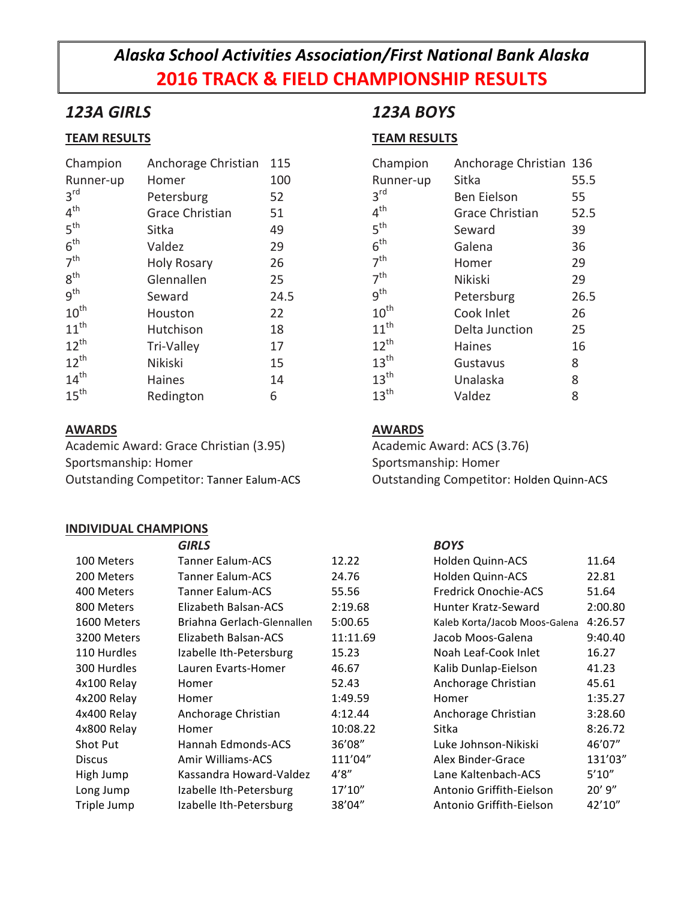# *Alaska School Activities Association/First National Bank Alaska* **2016 TRACK & FIELD CHAMPIONSHIP RESULTS**

## *123A GIRLS*

### **TEAM RESULTS**

| Champion         | Anchorage Christian    | 115  |
|------------------|------------------------|------|
| Runner-up        | Homer                  | 100  |
| 3 <sup>rd</sup>  | Petersburg             | 52   |
| 4 <sup>th</sup>  | <b>Grace Christian</b> | 51   |
| 5 <sup>th</sup>  | Sitka                  | 49   |
| 6 <sup>th</sup>  | Valdez                 | 29   |
| 7 <sup>th</sup>  | <b>Holy Rosary</b>     | 26   |
| $8^{\text{th}}$  | Glennallen             | 25   |
| 9 <sup>th</sup>  | Seward                 | 24.5 |
| $10^{\text{th}}$ | Houston                | 22   |
| $11^{th}$        | Hutchison              | 18   |
| $12^{th}$        | Tri-Valley             | 17   |
| $12^{th}$        | Nikiski                | 15   |
| 14 <sup>th</sup> | <b>Haines</b>          | 14   |
| 15 <sup>th</sup> | Redington              | 6    |

#### **AWARDS**

Academic Award: Grace Christian (3.95) Sportsmanship: Homer Outstanding Competitor: Tanner Ealum-ACS

#### **INDIVIDUAL CHAMPIONS**

## *123A BOYS*

### **TEAM RESULTS**

| Champion         | Anchorage Christian 136 |      |
|------------------|-------------------------|------|
| Runner-up        | Sitka                   | 55.5 |
| 3 <sup>rd</sup>  | Ben Eielson             | 55   |
| 4 <sup>th</sup>  | <b>Grace Christian</b>  | 52.5 |
| 5 <sup>th</sup>  | Seward                  | 39   |
| 6 <sup>th</sup>  | Galena                  | 36   |
| 7 <sup>th</sup>  | Homer                   | 29   |
| 7 <sup>th</sup>  | Nikiski                 | 29   |
| 9 <sup>th</sup>  | Petersburg              | 26.5 |
| $10^{\text{th}}$ | Cook Inlet              | 26   |
| $11^{th}$        | Delta Junction          | 25   |
| $12^{th}$        | Haines                  | 16   |
| $13^{\text{th}}$ | Gustavus                | 8    |
| 13 <sup>th</sup> | Unalaska                | 8    |
| 13 <sup>th</sup> | Valdez                  | 8    |

#### **AWARDS**

Academic Award: ACS (3.76) Sportsmanship: Homer Outstanding Competitor: Holden Quinn-ACS

|               | <b>GIRLS</b>               |          | <b>BOYS</b>                   |             |
|---------------|----------------------------|----------|-------------------------------|-------------|
| 100 Meters    | <b>Tanner Ealum-ACS</b>    | 12.22    | Holden Quinn-ACS              | 11.64       |
| 200 Meters    | <b>Tanner Ealum-ACS</b>    | 24.76    | Holden Quinn-ACS              | 22.81       |
| 400 Meters    | <b>Tanner Ealum-ACS</b>    | 55.56    | <b>Fredrick Onochie-ACS</b>   | 51.64       |
| 800 Meters    | Elizabeth Balsan-ACS       | 2:19.68  | Hunter Kratz-Seward           | 2:00.80     |
| 1600 Meters   | Briahna Gerlach-Glennallen | 5:00.65  | Kaleb Korta/Jacob Moos-Galena | 4:26.57     |
| 3200 Meters   | Elizabeth Balsan-ACS       | 11:11.69 | Jacob Moos-Galena             | 9:40.40     |
| 110 Hurdles   | Izabelle Ith-Petersburg    | 15.23    | Noah Leaf-Cook Inlet          | 16.27       |
| 300 Hurdles   | Lauren Evarts-Homer        | 46.67    | Kalib Dunlap-Eielson          | 41.23       |
| 4x100 Relay   | Homer                      | 52.43    | Anchorage Christian           | 45.61       |
| 4x200 Relay   | Homer                      | 1:49.59  | Homer                         | 1:35.27     |
| 4x400 Relay   | Anchorage Christian        | 4:12.44  | Anchorage Christian           | 3:28.60     |
| 4x800 Relay   | Homer                      | 10:08.22 | Sitka                         | 8:26.72     |
| Shot Put      | Hannah Edmonds-ACS         | 36'08"   | Luke Johnson-Nikiski          | 46'07"      |
| <b>Discus</b> | Amir Williams-ACS          | 111'04"  | Alex Binder-Grace             | 131'03"     |
| High Jump     | Kassandra Howard-Valdez    | 4'8''    | Lane Kaltenbach-ACS           | 5'10''      |
| Long Jump     | Izabelle Ith-Petersburg    | 17'10''  | Antonio Griffith-Eielson      | $20'$ $9''$ |
| Triple Jump   | Izabelle Ith-Petersburg    | 38'04"   | Antonio Griffith-Eielson      | 42'10"      |